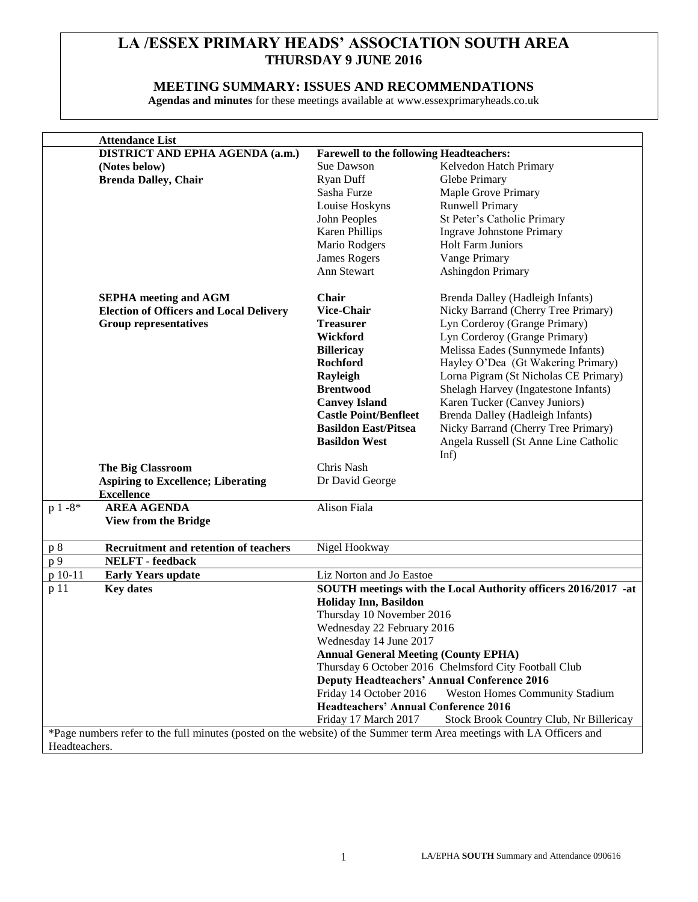## **LA /ESSEX PRIMARY HEADS' ASSOCIATION SOUTH AREA THURSDAY 9 JUNE 2016**

### **MEETING SUMMARY: ISSUES AND RECOMMENDATIONS**

**Agendas and minutes** for these meetings available at www.essexprimaryheads.co.uk

| <b>Attendance List</b>                                                                                                |                                                                 |                                         |  |  |
|-----------------------------------------------------------------------------------------------------------------------|-----------------------------------------------------------------|-----------------------------------------|--|--|
| DISTRICT AND EPHA AGENDA (a.m.)                                                                                       | <b>Farewell to the following Headteachers:</b>                  |                                         |  |  |
| (Notes below)                                                                                                         | Sue Dawson                                                      | Kelvedon Hatch Primary                  |  |  |
| <b>Brenda Dalley, Chair</b>                                                                                           | <b>Ryan Duff</b>                                                | Glebe Primary                           |  |  |
|                                                                                                                       | Sasha Furze                                                     | Maple Grove Primary                     |  |  |
|                                                                                                                       | Louise Hoskyns                                                  | <b>Runwell Primary</b>                  |  |  |
|                                                                                                                       |                                                                 |                                         |  |  |
|                                                                                                                       | John Peoples                                                    | St Peter's Catholic Primary             |  |  |
|                                                                                                                       | <b>Karen Phillips</b>                                           | <b>Ingrave Johnstone Primary</b>        |  |  |
|                                                                                                                       | Mario Rodgers                                                   | <b>Holt Farm Juniors</b>                |  |  |
|                                                                                                                       | <b>James Rogers</b>                                             | Vange Primary                           |  |  |
|                                                                                                                       | Ann Stewart                                                     | <b>Ashingdon Primary</b>                |  |  |
| <b>SEPHA</b> meeting and AGM                                                                                          | Chair                                                           | Brenda Dalley (Hadleigh Infants)        |  |  |
| <b>Election of Officers and Local Delivery</b>                                                                        | <b>Vice-Chair</b>                                               | Nicky Barrand (Cherry Tree Primary)     |  |  |
| <b>Group representatives</b>                                                                                          | <b>Treasurer</b>                                                | Lyn Corderoy (Grange Primary)           |  |  |
|                                                                                                                       | Wickford                                                        | Lyn Corderoy (Grange Primary)           |  |  |
|                                                                                                                       | <b>Billericay</b>                                               | Melissa Eades (Sunnymede Infants)       |  |  |
|                                                                                                                       | Rochford                                                        | Hayley O'Dea (Gt Wakering Primary)      |  |  |
|                                                                                                                       | Rayleigh                                                        | Lorna Pigram (St Nicholas CE Primary)   |  |  |
|                                                                                                                       | <b>Brentwood</b>                                                | Shelagh Harvey (Ingatestone Infants)    |  |  |
|                                                                                                                       | <b>Canvey Island</b>                                            | Karen Tucker (Canvey Juniors)           |  |  |
|                                                                                                                       | <b>Castle Point/Benfleet</b>                                    | Brenda Dalley (Hadleigh Infants)        |  |  |
|                                                                                                                       | <b>Basildon East/Pitsea</b>                                     |                                         |  |  |
|                                                                                                                       | <b>Basildon West</b>                                            | Nicky Barrand (Cherry Tree Primary)     |  |  |
|                                                                                                                       |                                                                 | Angela Russell (St Anne Line Catholic   |  |  |
|                                                                                                                       | Chris Nash                                                      | Inf)                                    |  |  |
| <b>The Big Classroom</b>                                                                                              |                                                                 |                                         |  |  |
| <b>Aspiring to Excellence; Liberating</b>                                                                             | Dr David George                                                 |                                         |  |  |
| <b>Excellence</b><br>$p 1 - 8$ *<br><b>AREA AGENDA</b>                                                                | <b>Alison Fiala</b>                                             |                                         |  |  |
|                                                                                                                       |                                                                 |                                         |  |  |
| <b>View from the Bridge</b>                                                                                           |                                                                 |                                         |  |  |
| <b>Recruitment and retention of teachers</b><br>p 8                                                                   | Nigel Hookway                                                   |                                         |  |  |
| p 9<br><b>NELFT</b> - feedback                                                                                        |                                                                 |                                         |  |  |
| p 10-11<br><b>Early Years update</b>                                                                                  |                                                                 | Liz Norton and Jo Eastoe                |  |  |
| <b>Key dates</b><br>p 11                                                                                              | SOUTH meetings with the Local Authority officers 2016/2017 -at  |                                         |  |  |
|                                                                                                                       | <b>Holiday Inn, Basildon</b>                                    |                                         |  |  |
|                                                                                                                       | Thursday 10 November 2016                                       |                                         |  |  |
|                                                                                                                       | Wednesday 22 February 2016                                      |                                         |  |  |
|                                                                                                                       | Wednesday 14 June 2017                                          |                                         |  |  |
|                                                                                                                       | <b>Annual General Meeting (County EPHA)</b>                     |                                         |  |  |
|                                                                                                                       | Thursday 6 October 2016 Chelmsford City Football Club           |                                         |  |  |
|                                                                                                                       | <b>Deputy Headteachers' Annual Conference 2016</b>              |                                         |  |  |
|                                                                                                                       | Friday 14 October 2016<br><b>Weston Homes Community Stadium</b> |                                         |  |  |
|                                                                                                                       | <b>Headteachers' Annual Conference 2016</b>                     |                                         |  |  |
|                                                                                                                       | Friday 17 March 2017                                            | Stock Brook Country Club, Nr Billericay |  |  |
| *Page numbers refer to the full minutes (posted on the website) of the Summer term Area meetings with LA Officers and |                                                                 |                                         |  |  |
|                                                                                                                       |                                                                 |                                         |  |  |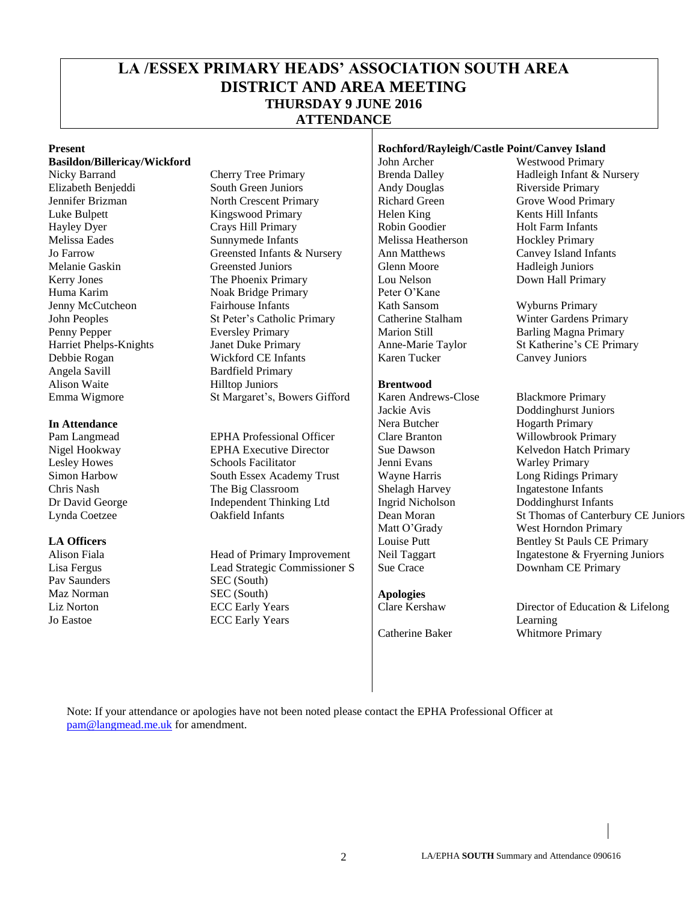## **LA /ESSEX PRIMARY HEADS' ASSOCIATION SOUTH AREA DISTRICT AND AREA MEETING THURSDAY 9 JUNE 2016 ATTENDANCE**

**Basildon/Billericay/Wickford** and **John Archer** John Archer Westwood Primary

Angela Savill Bardfield Primary<br>Alison Waite Hillton Juniors

Pav Saunders SEC (South) Liz Norton Jo Eastoe

Nicky Barrand Cherry Tree Primary Brenda Dalley Hadleigh Infant & Nursery Elizabeth Benjeddi South Green Juniors Andy Douglas Riverside Primary Jennifer Brizman North Crescent Primary Richard Green Grove Wood Primary Luke Bulpett Kingswood Primary Helen King Kents Hill Infants Hayley Dyer Crays Hill Primary Robin Goodier Holt Farm Infants<br>
Melissa Eades Sunnymede Infants Melissa Heatherson Hockley Primary Sunnymede Infants Melissa Heatherson Hockley Primary Jo Farrow Greensted Infants & Nursery Ann Matthews Canvey Island Infants Melanie Gaskin Greensted Juniors Greensted Glenn Moore Hadleigh Juniors Kerry Jones **The Phoenix Primary** Lou Nelson Down Hall Primary Huma Karim Noak Bridge Primary Peter O'Kane Jenny McCutcheon Fairhouse Infants Kath Sansom Wyburns Primary John Peoples St Peter's Catholic Primary Catherine Stalham Winter Gardens Primary Penny Pepper Eversley Primary Eversley Primary Marion Still Barling Magna Primary Harriet Phelps-Knights Janet Duke Primary Anne-Marie Taylor St Katherine's CE Prima Janet Duke Primary Anne-Marie Taylor St Katherine's CE Primary Debbie Rogan Wickford CE Infants Karen Tucker Canvey Juniors Hilltop Juniors **Brentwood** Emma Wigmore St Margaret's, Bowers Gifford | Karen Andrews-Close Blackmore Primary

Pam Langmead EPHA Professional Officer Clare Branton Willowbrook Primary Nigel Hookway **EPHA Executive Director** Sue Dawson **Sue Relyedon Hatch Primary** Lesley Howes Schools Facilitator Jenni Evans Warley Primary Simon Harbow South Essex Academy Trust Wayne Harris Long Ridings Primary<br>Chris Nash The Big Classroom Shelagh Harvey Ingatestone Infants Chris Nash The Big Classroom Shelagh Harvey Dr David George Independent Thinking Ltd Ingrid Nicholson Doddinghurst Infants

Lisa Fergus **Lead Strategic Commissioner S** Sue Crace **S** Downham CE Primary Maz Norman SEC (South) **Apologies** ECC Early Years ECC Early Years

#### **Present Rochford/Rayleigh/Castle Point/Canvey Island**

**In Attendance Nera Butcher Hogarth Primary Nera Butcher Hogarth Primary** 

Jackie Avis Doddinghurst Juniors Lynda Coetzee Oakfield Infants Dean Moran St Thomas of Canterbury CE Juniors Matt O'Grady West Horndon Primary **LA Officers Louise Putt** Bentley St Pauls CE Primary Alison Fiala **Head of Primary Improvement** Neil Taggart Ingatestone & Fryerning Juniors

> Clare Kershaw Director of Education & Lifelong Learning Catherine Baker Whitmore Primary

Note: If your attendance or apologies have not been noted please contact the EPHA Professional Officer at [pam@langmead.me.uk](mailto:pam@langmead.me.uk) for amendment.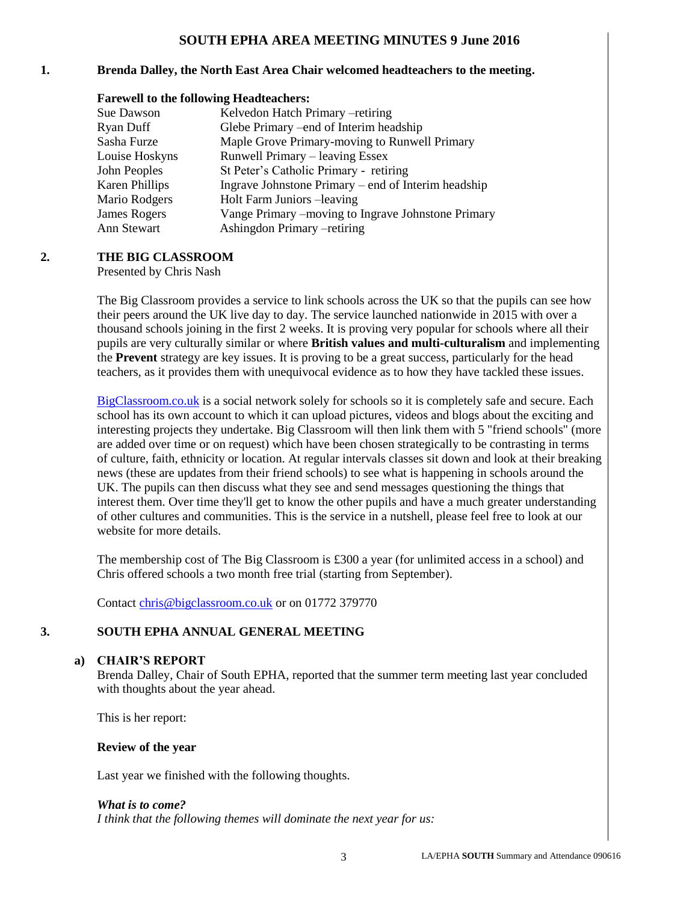### **SOUTH EPHA AREA MEETING MINUTES 9 June 2016**

#### **1. Brenda Dalley, the North East Area Chair welcomed headteachers to the meeting.**

#### **Farewell to the following Headteachers:**

| Sue Dawson          | Kelvedon Hatch Primary -retiring                    |
|---------------------|-----------------------------------------------------|
| Ryan Duff           | Glebe Primary – end of Interim headship             |
| Sasha Furze         | Maple Grove Primary-moving to Runwell Primary       |
| Louise Hoskyns      | Runwell Primary – leaving Essex                     |
| John Peoples        | St Peter's Catholic Primary - retiring              |
| Karen Phillips      | Ingrave Johnstone Primary – end of Interim headship |
| Mario Rodgers       | Holt Farm Juniors -leaving                          |
| <b>James Rogers</b> | Vange Primary - moving to Ingrave Johnstone Primary |
| Ann Stewart         | Ashingdon Primary -retiring                         |

#### **2. THE BIG CLASSROOM**

Presented by Chris Nash

The Big Classroom provides a service to link schools across the UK so that the pupils can see how their peers around the UK live day to day. The service launched nationwide in 2015 with over a thousand schools joining in the first 2 weeks. It is proving very popular for schools where all their pupils are very culturally similar or where **British values and multi-culturalism** and implementing the **Prevent** strategy are key issues. It is proving to be a great success, particularly for the head teachers, as it provides them with unequivocal evidence as to how they have tackled these issues.

[BigClassroom.co.uk](http://bigclassroom.co.uk/) is a social network solely for schools so it is completely safe and secure. Each school has its own account to which it can upload pictures, videos and blogs about the exciting and interesting projects they undertake. Big Classroom will then link them with 5 "friend schools" (more are added over time or on request) which have been chosen strategically to be contrasting in terms of culture, faith, ethnicity or location. At regular intervals classes sit down and look at their breaking news (these are updates from their friend schools) to see what is happening in schools around the UK. The pupils can then discuss what they see and send messages questioning the things that interest them. Over time they'll get to know the other pupils and have a much greater understanding of other cultures and communities. This is the service in a nutshell, please feel free to look at our website for more details.

The membership cost of The Big Classroom is £300 a year (for unlimited access in a school) and Chris offered schools a two month free trial (starting from September).

Contact [chris@bigclassroom.co.uk](mailto:chris@bigclassroom.co.uk) or on 01772 379770

#### **3. SOUTH EPHA ANNUAL GENERAL MEETING**

#### **a) CHAIR'S REPORT**

Brenda Dalley, Chair of South EPHA, reported that the summer term meeting last year concluded with thoughts about the year ahead.

This is her report:

#### **Review of the year**

Last year we finished with the following thoughts.

#### *What is to come?*

*I think that the following themes will dominate the next year for us:*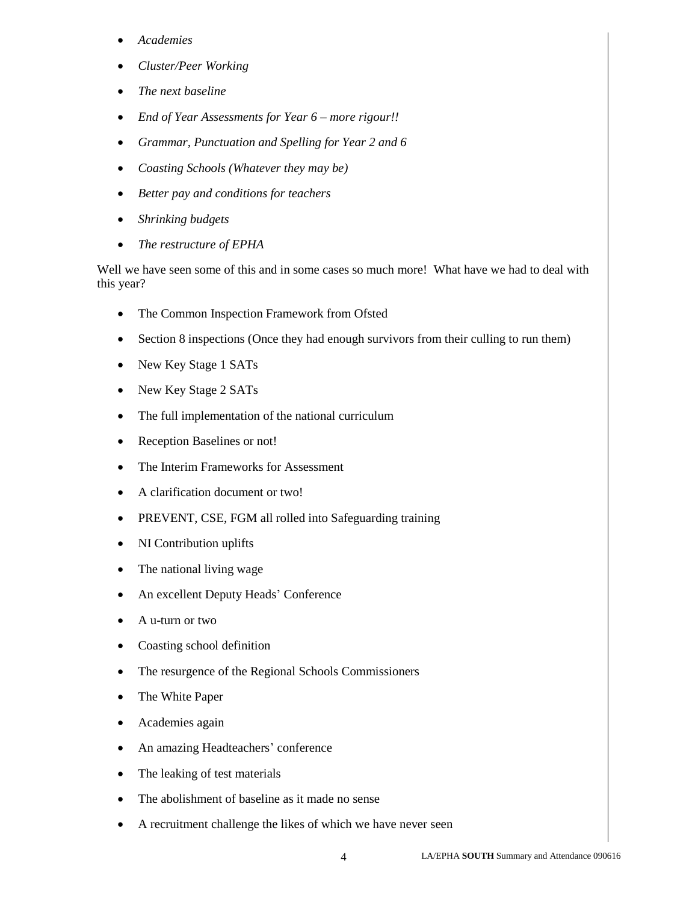- *Academies*
- *Cluster/Peer Working*
- *The next baseline*
- *End of Year Assessments for Year 6 – more rigour!!*
- *Grammar, Punctuation and Spelling for Year 2 and 6*
- *Coasting Schools (Whatever they may be)*
- *Better pay and conditions for teachers*
- *Shrinking budgets*
- *The restructure of EPHA*

Well we have seen some of this and in some cases so much more! What have we had to deal with this year?

- The Common Inspection Framework from Ofsted
- Section 8 inspections (Once they had enough survivors from their culling to run them)
- New Key Stage 1 SATs
- New Key Stage 2 SATs
- The full implementation of the national curriculum
- Reception Baselines or not!
- The Interim Frameworks for Assessment
- A clarification document or two!
- PREVENT, CSE, FGM all rolled into Safeguarding training
- NI Contribution uplifts
- The national living wage
- An excellent Deputy Heads' Conference
- A u-turn or two
- Coasting school definition
- The resurgence of the Regional Schools Commissioners
- The White Paper
- Academies again
- An amazing Headteachers' conference
- The leaking of test materials
- The abolishment of baseline as it made no sense
- A recruitment challenge the likes of which we have never seen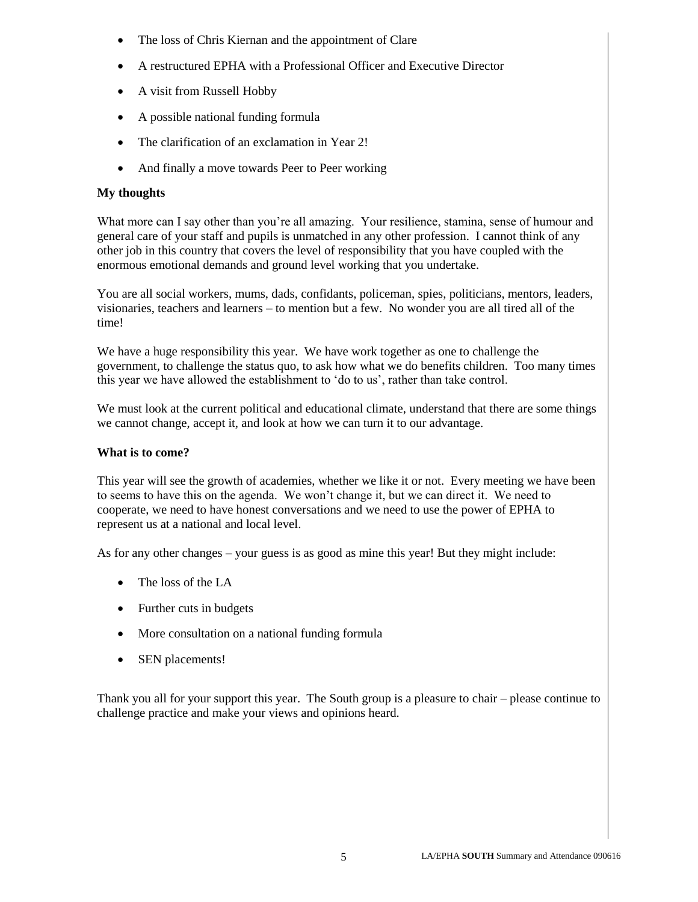- The loss of Chris Kiernan and the appointment of Clare
- A restructured EPHA with a Professional Officer and Executive Director
- A visit from Russell Hobby
- A possible national funding formula
- The clarification of an exclamation in Year 2!
- And finally a move towards Peer to Peer working

### **My thoughts**

What more can I say other than you're all amazing. Your resilience, stamina, sense of humour and general care of your staff and pupils is unmatched in any other profession. I cannot think of any other job in this country that covers the level of responsibility that you have coupled with the enormous emotional demands and ground level working that you undertake.

You are all social workers, mums, dads, confidants, policeman, spies, politicians, mentors, leaders, visionaries, teachers and learners – to mention but a few. No wonder you are all tired all of the time!

We have a huge responsibility this year. We have work together as one to challenge the government, to challenge the status quo, to ask how what we do benefits children. Too many times this year we have allowed the establishment to 'do to us', rather than take control.

We must look at the current political and educational climate, understand that there are some things we cannot change, accept it, and look at how we can turn it to our advantage.

#### **What is to come?**

This year will see the growth of academies, whether we like it or not. Every meeting we have been to seems to have this on the agenda. We won't change it, but we can direct it. We need to cooperate, we need to have honest conversations and we need to use the power of EPHA to represent us at a national and local level.

As for any other changes – your guess is as good as mine this year! But they might include:

- The loss of the LA
- Further cuts in budgets
- More consultation on a national funding formula
- SEN placements!

Thank you all for your support this year. The South group is a pleasure to chair – please continue to challenge practice and make your views and opinions heard.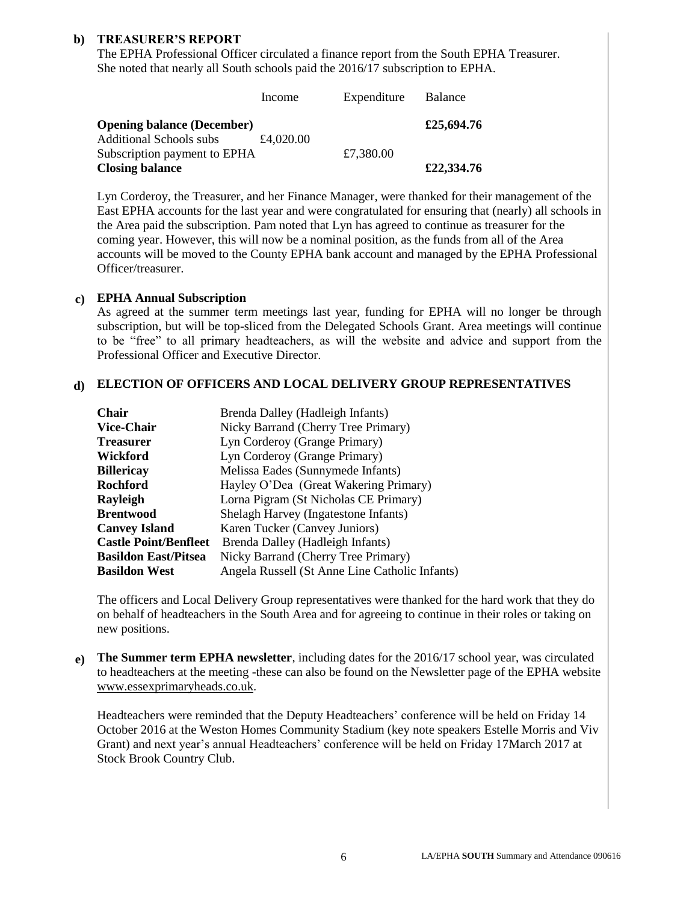#### **b) TREASURER'S REPORT**

The EPHA Professional Officer circulated a finance report from the South EPHA Treasurer. She noted that nearly all South schools paid the 2016/17 subscription to EPHA.

|                                   | Income    | Expenditure | Balance    |
|-----------------------------------|-----------|-------------|------------|
| <b>Opening balance (December)</b> |           |             | £25,694.76 |
| <b>Additional Schools subs</b>    | £4,020.00 |             |            |
| Subscription payment to EPHA      |           | £7,380.00   |            |
| <b>Closing balance</b>            |           |             | £22,334.76 |

Lyn Corderoy, the Treasurer, and her Finance Manager, were thanked for their management of the East EPHA accounts for the last year and were congratulated for ensuring that (nearly) all schools in the Area paid the subscription. Pam noted that Lyn has agreed to continue as treasurer for the coming year. However, this will now be a nominal position, as the funds from all of the Area accounts will be moved to the County EPHA bank account and managed by the EPHA Professional Officer/treasurer.

#### **c) EPHA Annual Subscription**

As agreed at the summer term meetings last year, funding for EPHA will no longer be through subscription, but will be top-sliced from the Delegated Schools Grant. Area meetings will continue to be "free" to all primary headteachers, as will the website and advice and support from the Professional Officer and Executive Director.

#### **d) ELECTION OF OFFICERS AND LOCAL DELIVERY GROUP REPRESENTATIVES**

| <b>Chair</b>                 | Brenda Dalley (Hadleigh Infants)               |
|------------------------------|------------------------------------------------|
| <b>Vice-Chair</b>            | Nicky Barrand (Cherry Tree Primary)            |
| <b>Treasurer</b>             | Lyn Corderoy (Grange Primary)                  |
| Wickford                     | Lyn Corderoy (Grange Primary)                  |
| <b>Billericay</b>            | Melissa Eades (Sunnymede Infants)              |
| <b>Rochford</b>              | Hayley O'Dea (Great Wakering Primary)          |
| Rayleigh                     | Lorna Pigram (St Nicholas CE Primary)          |
| <b>Brentwood</b>             | Shelagh Harvey (Ingatestone Infants)           |
| <b>Canvey Island</b>         | Karen Tucker (Canvey Juniors)                  |
| <b>Castle Point/Benfleet</b> | Brenda Dalley (Hadleigh Infants)               |
| <b>Basildon East/Pitsea</b>  | Nicky Barrand (Cherry Tree Primary)            |
| <b>Basildon West</b>         | Angela Russell (St Anne Line Catholic Infants) |

The officers and Local Delivery Group representatives were thanked for the hard work that they do on behalf of headteachers in the South Area and for agreeing to continue in their roles or taking on new positions.

**e) The Summer term EPHA newsletter**, including dates for the 2016/17 school year, was circulated to headteachers at the meeting -these can also be found on the Newsletter page of the EPHA website [www.essexprimaryheads.co.uk.](http://www.essexprimaryheads.co.uk/)

Headteachers were reminded that the Deputy Headteachers' conference will be held on Friday 14 October 2016 at the Weston Homes Community Stadium (key note speakers Estelle Morris and Viv Grant) and next year's annual Headteachers' conference will be held on Friday 17March 2017 at Stock Brook Country Club.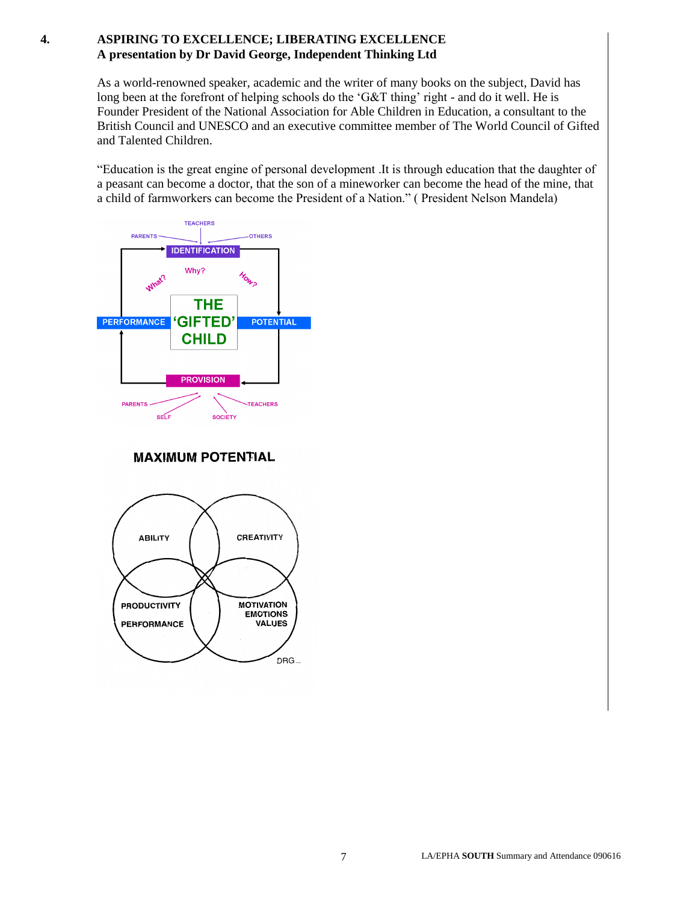### **4. ASPIRING TO EXCELLENCE; LIBERATING EXCELLENCE A presentation by Dr David George, Independent Thinking Ltd**

As a world-renowned speaker, academic and the writer of many books on the subject, David has long been at the forefront of helping schools do the 'G&T thing' right - and do it well. He is Founder President of the National Association for Able Children in Education, a consultant to the British Council and UNESCO and an executive committee member of The World Council of Gifted and Talented Children.

"Education is the great engine of personal development .It is through education that the daughter of a peasant can become a doctor, that the son of a mineworker can become the head of the mine, that a child of farmworkers can become the President of a Nation." ( President Nelson Mandela)



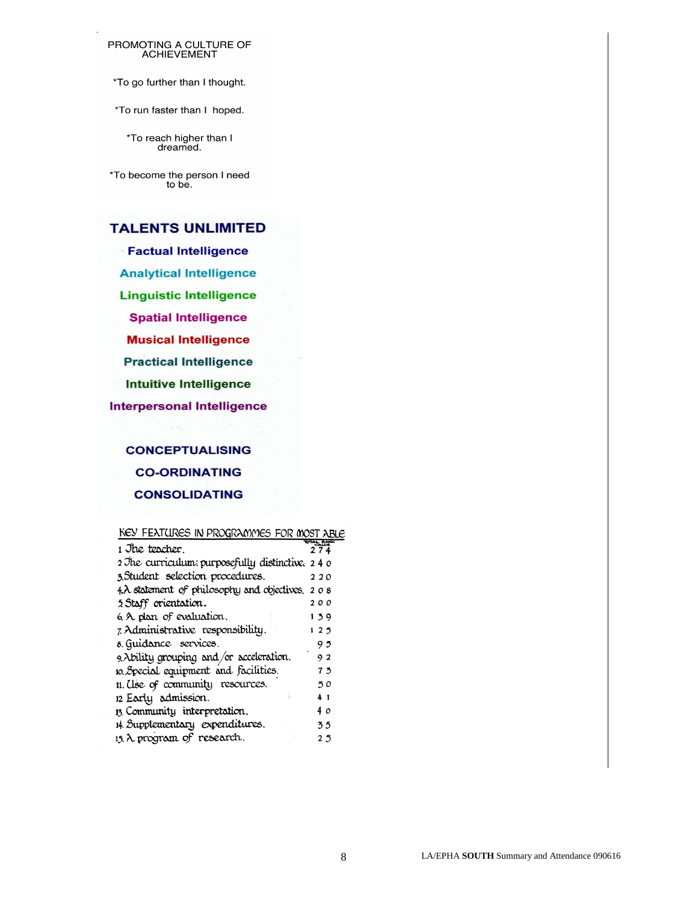# PROMOTING A CULTURE OF<br>ACHIEVEMENT

\*To go further than I thought.

\*To run faster than I hoped.

\*To reach higher than I dreamed.

\*To become the person I need to be.

### **TALENTS UNLIMITED**

**Factual Intelligence Analytical Intelligence Linguistic Intelligence Spatial Intelligence Musical Intelligence Practical Intelligence Intuitive Intelligence Interpersonal Intelligence** 

> **CONCEPTUALISING CO-ORDINATING CONSOLIDATING**

#### KEY FEATURES IN PROGRAMMES FOR MOST ABLE

| 1 Jhe teocher.                                    | 274 |
|---------------------------------------------------|-----|
| 2 The curriculum: purposefully distinctive. 2 4 0 |     |
| 3.Student selection procedures.                   | 220 |
| 4. A statement of philosophy and objectives, 208  |     |
| 5 Staff orientation.                              | 200 |
| 6 A plan of evaluation.                           | 139 |
| 7. Administrative responsibility.                 | 125 |
| 8. Guidance services.                             | 95  |
| 9. Ability grouping and/or acceleration.          | 92  |
| 10. Special equipment and facilities.             | 73  |
| 11. Use of community resources.                   | 50  |
| 12 Early admission.                               | 41  |
| 13 Community interpretation.                      | 4 o |
| 14. Supplementary expenditures.                   | 55  |
| 15. A program of research.                        | 25  |
|                                                   |     |